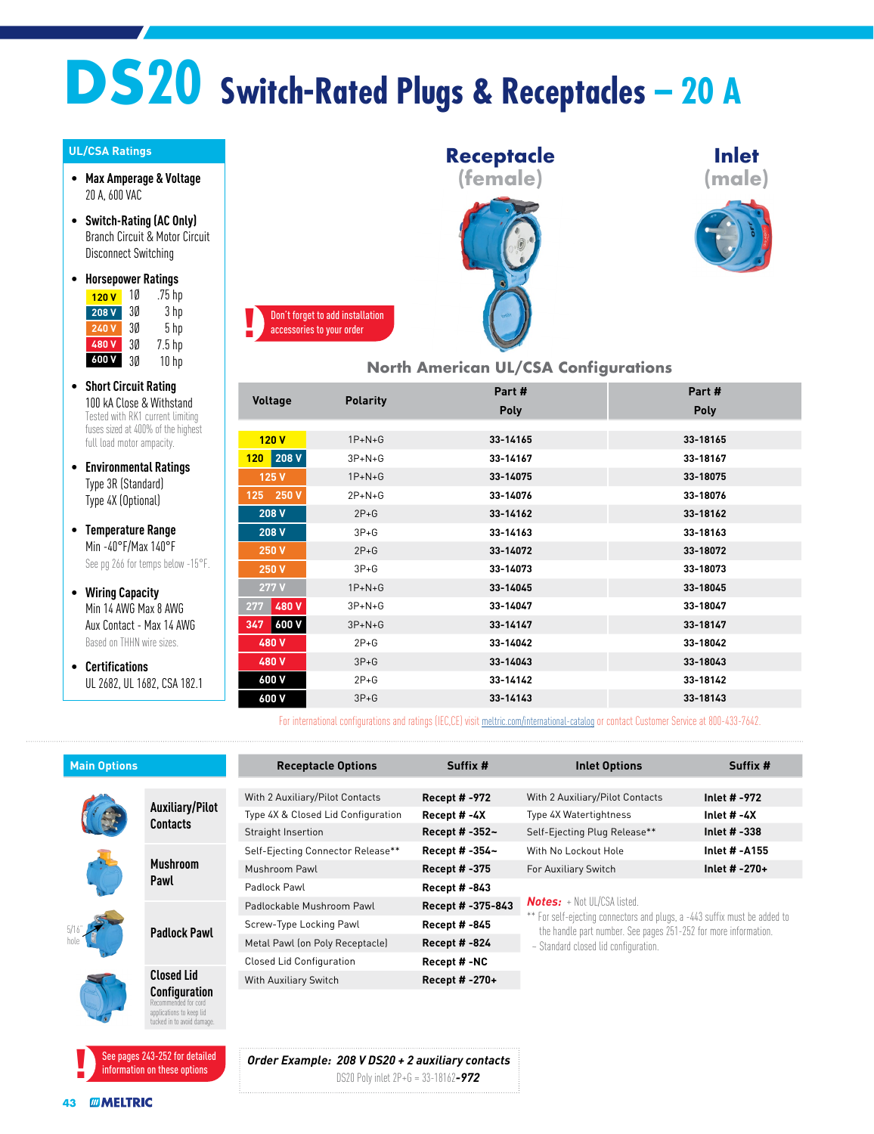# **DS20 Switch-Rated Plugs & Receptacles – 20 A**

#### **UL/CSA Ratings**

- **Max Amperage & Voltage** 20 A, 600 VAC
- **Switch-Rating (AC Only)** Branch Circuit & Motor Circuit Disconnect Switching
- **Horsepower Ratings** 1Ø .75 hp **120 V**

| 208 V | 30 | 3 hp            |
|-------|----|-----------------|
| 240 V | 30 | 5 <sub>hp</sub> |
| 480V  | 30 | $7.5$ hp        |
| 600 V | 3Ø | 10 hp           |

- **Short Circuit Rating** 100 kA Close & Withstand Tested with RK1 current limiting fuses sized at 400% of the highest full load motor ampacity.
- **Environmental Ratings** Type 3R (Standard) Type 4X (Optional)
- **Temperature Range** Min -40°F/Max 140°F See pg 266 for temps below -15°F.
- **Wiring Capacity** Min 14 AWG Max 8 AWG Aux Contact - Max 14 AWG Based on THHN wire sizes.
- **Certifications** UL 2682, UL 1682, CSA 182.1



#### **North American UL/CSA Configurations**

**Inlet (male)**

| Voltage             |                 | Part #      | Part#    |  |  |
|---------------------|-----------------|-------------|----------|--|--|
|                     | <b>Polarity</b> | <b>Poly</b> | Poly     |  |  |
|                     |                 |             |          |  |  |
| 120V                | $1P+N+G$        | 33-14165    | 33-18165 |  |  |
| 208V<br>120         | $3P+N+G$        | 33-14167    | 33-18167 |  |  |
| 125 V               | $1P+N+G$        | 33-14075    | 33-18075 |  |  |
| 125 250 V           | $2P+N+G$        | 33-14076    | 33-18076 |  |  |
| 208 V               | $2P+G$          | 33-14162    | 33-18162 |  |  |
| 208 V               | $3P+G$          | 33-14163    | 33-18163 |  |  |
| 250 V               | $2P+G$          | 33-14072    | 33-18072 |  |  |
| 250 V               | $3P+G$          | 33-14073    | 33-18073 |  |  |
| 277V                | $1P+N+G$        | 33-14045    | 33-18045 |  |  |
| 480 V<br>277        | $3P+N+G$        | 33-14047    | 33-18047 |  |  |
| <b>600 V</b><br>347 | $3P+N+G$        | 33-14147    | 33-18147 |  |  |
| 480 V               | $2P+G$          | 33-14042    | 33-18042 |  |  |
| 480 V               | $3P+G$          | 33-14043    | 33-18043 |  |  |
| 600 V               | $2P+G$          | 33-14142    | 33-18142 |  |  |
| 600 V               | $3P + G$        | 33-14143    | 33-18143 |  |  |

For international configurations and ratings (IEC,CE) visit [meltric.com/international-catalog](https://meltric.com/media/contentmanager/content/MARECHAL_Full_Catalogue_EN_1.pdf) or contact Customer Service at 800-433-7642.

| <b>Main Options</b> |                                                                                                 | <b>Receptacle Options</b>          | Suffix #             | <b>Inlet Options</b>                                                                                                                         | Suffix #       |
|---------------------|-------------------------------------------------------------------------------------------------|------------------------------------|----------------------|----------------------------------------------------------------------------------------------------------------------------------------------|----------------|
|                     |                                                                                                 |                                    |                      |                                                                                                                                              |                |
|                     | <b>Auxiliary/Pilot</b><br>Contacts                                                              | With 2 Auxiliary/Pilot Contacts    | <b>Recept #-972</b>  | With 2 Auxiliary/Pilot Contacts                                                                                                              | Inlet # -972   |
|                     |                                                                                                 | Type 4X & Closed Lid Configuration | Recept # -4X         | Type 4X Watertightness                                                                                                                       | Inlet $# -4X$  |
|                     |                                                                                                 | Straight Insertion                 | Recept # $-352-$     | Self-Ejecting Plug Release**                                                                                                                 | Inlet $# -338$ |
|                     | <b>Mushroom</b><br>Pawl                                                                         | Self-Ejecting Connector Release**  | Recept # -354~       | With No Lockout Hole                                                                                                                         | Inlet # -A155  |
|                     |                                                                                                 | Mushroom Pawl                      | Recept # -375        | For Auxiliary Switch                                                                                                                         | Inlet # -270+  |
|                     |                                                                                                 | Padlock Pawl                       | <b>Recept # -843</b> |                                                                                                                                              |                |
|                     | <b>Padlock Pawl</b>                                                                             | Padlockable Mushroom Pawl          | Recept # -375-843    | $Notes: + Not UL/CSA listed.$                                                                                                                |                |
|                     |                                                                                                 | Screw-Type Locking Pawl            | Recept # -845        | ** For self-ejecting connectors and plugs, a -443 suffix must be added to<br>the handle part number. See pages 251-252 for more information. |                |
|                     |                                                                                                 | Metal Pawl (on Poly Receptacle)    | <b>Recept # -824</b> | ~ Standard closed lid configuration.                                                                                                         |                |
|                     |                                                                                                 | <b>Closed Lid Configuration</b>    | Recept #-NC          |                                                                                                                                              |                |
|                     | <b>Closed Lid</b>                                                                               | With Auxiliary Switch              | Recept #-270+        |                                                                                                                                              |                |
|                     | Configuration<br>Recommended for cord<br>applications to keep lid<br>tucked in to avoid damage. |                                    |                      |                                                                                                                                              |                |

*Order Example: 208 V DS20 + 2 auxiliary contacts* DS20 Poly inlet 2P+G = 33-18162*-972*

See pages 243-252 for detailed information on these options